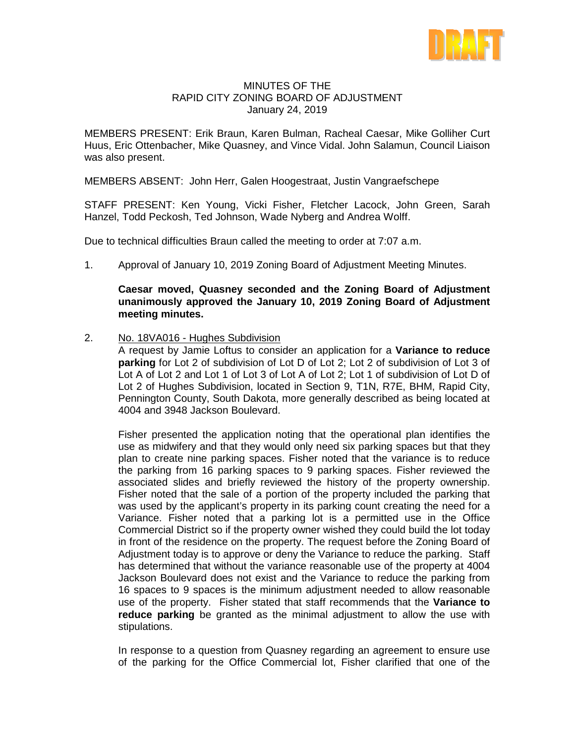

## MINUTES OF THE RAPID CITY ZONING BOARD OF ADJUSTMENT January 24, 2019

MEMBERS PRESENT: Erik Braun, Karen Bulman, Racheal Caesar, Mike Golliher Curt Huus, Eric Ottenbacher, Mike Quasney, and Vince Vidal. John Salamun, Council Liaison was also present.

MEMBERS ABSENT: John Herr, Galen Hoogestraat, Justin Vangraefschepe

STAFF PRESENT: Ken Young, Vicki Fisher, Fletcher Lacock, John Green, Sarah Hanzel, Todd Peckosh, Ted Johnson, Wade Nyberg and Andrea Wolff.

Due to technical difficulties Braun called the meeting to order at 7:07 a.m.

1. Approval of January 10, 2019 Zoning Board of Adjustment Meeting Minutes.

## **Caesar moved, Quasney seconded and the Zoning Board of Adjustment unanimously approved the January 10, 2019 Zoning Board of Adjustment meeting minutes.**

2. No. 18VA016 - Hughes Subdivision

A request by Jamie Loftus to consider an application for a **Variance to reduce parking** for Lot 2 of subdivision of Lot D of Lot 2; Lot 2 of subdivision of Lot 3 of Lot A of Lot 2 and Lot 1 of Lot 3 of Lot A of Lot 2; Lot 1 of subdivision of Lot D of Lot 2 of Hughes Subdivision, located in Section 9, T1N, R7E, BHM, Rapid City, Pennington County, South Dakota, more generally described as being located at 4004 and 3948 Jackson Boulevard.

Fisher presented the application noting that the operational plan identifies the use as midwifery and that they would only need six parking spaces but that they plan to create nine parking spaces. Fisher noted that the variance is to reduce the parking from 16 parking spaces to 9 parking spaces. Fisher reviewed the associated slides and briefly reviewed the history of the property ownership. Fisher noted that the sale of a portion of the property included the parking that was used by the applicant's property in its parking count creating the need for a Variance. Fisher noted that a parking lot is a permitted use in the Office Commercial District so if the property owner wished they could build the lot today in front of the residence on the property. The request before the Zoning Board of Adjustment today is to approve or deny the Variance to reduce the parking. Staff has determined that without the variance reasonable use of the property at 4004 Jackson Boulevard does not exist and the Variance to reduce the parking from 16 spaces to 9 spaces is the minimum adjustment needed to allow reasonable use of the property. Fisher stated that staff recommends that the **Variance to reduce parking** be granted as the minimal adjustment to allow the use with stipulations.

In response to a question from Quasney regarding an agreement to ensure use of the parking for the Office Commercial lot, Fisher clarified that one of the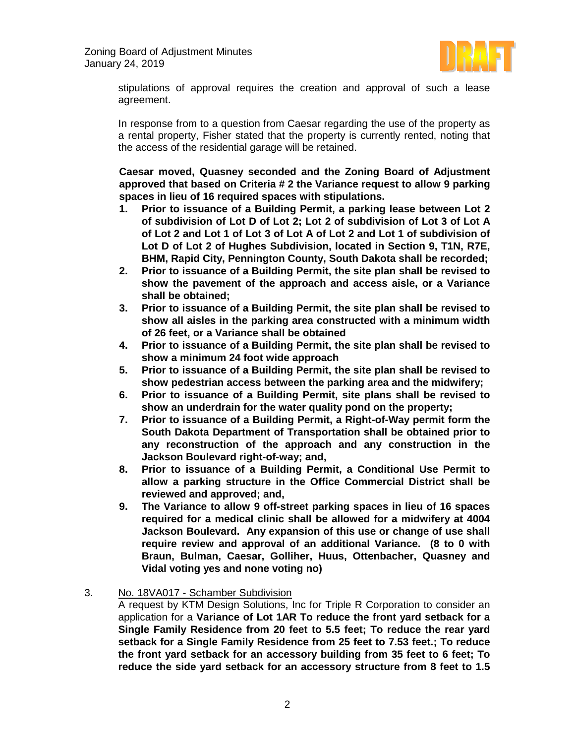

stipulations of approval requires the creation and approval of such a lease agreement.

In response from to a question from Caesar regarding the use of the property as a rental property, Fisher stated that the property is currently rented, noting that the access of the residential garage will be retained.

**Caesar moved, Quasney seconded and the Zoning Board of Adjustment approved that based on Criteria # 2 the Variance request to allow 9 parking spaces in lieu of 16 required spaces with stipulations.**

- **1. Prior to issuance of a Building Permit, a parking lease between Lot 2 of subdivision of Lot D of Lot 2; Lot 2 of subdivision of Lot 3 of Lot A of Lot 2 and Lot 1 of Lot 3 of Lot A of Lot 2 and Lot 1 of subdivision of Lot D of Lot 2 of Hughes Subdivision, located in Section 9, T1N, R7E, BHM, Rapid City, Pennington County, South Dakota shall be recorded;**
- **2. Prior to issuance of a Building Permit, the site plan shall be revised to show the pavement of the approach and access aisle, or a Variance shall be obtained;**
- **3. Prior to issuance of a Building Permit, the site plan shall be revised to show all aisles in the parking area constructed with a minimum width of 26 feet, or a Variance shall be obtained**
- **4. Prior to issuance of a Building Permit, the site plan shall be revised to show a minimum 24 foot wide approach**
- **5. Prior to issuance of a Building Permit, the site plan shall be revised to show pedestrian access between the parking area and the midwifery;**
- **6. Prior to issuance of a Building Permit, site plans shall be revised to show an underdrain for the water quality pond on the property;**
- **7. Prior to issuance of a Building Permit, a Right-of-Way permit form the South Dakota Department of Transportation shall be obtained prior to any reconstruction of the approach and any construction in the Jackson Boulevard right-of-way; and,**
- **8. Prior to issuance of a Building Permit, a Conditional Use Permit to allow a parking structure in the Office Commercial District shall be reviewed and approved; and,**
- **9. The Variance to allow 9 off-street parking spaces in lieu of 16 spaces required for a medical clinic shall be allowed for a midwifery at 4004 Jackson Boulevard. Any expansion of this use or change of use shall require review and approval of an additional Variance. (8 to 0 with Braun, Bulman, Caesar, Golliher, Huus, Ottenbacher, Quasney and Vidal voting yes and none voting no)**
- 3. No. 18VA017 Schamber Subdivision

A request by KTM Design Solutions, Inc for Triple R Corporation to consider an application for a **Variance of Lot 1AR To reduce the front yard setback for a Single Family Residence from 20 feet to 5.5 feet; To reduce the rear yard setback for a Single Family Residence from 25 feet to 7.53 feet.; To reduce the front yard setback for an accessory building from 35 feet to 6 feet; To reduce the side yard setback for an accessory structure from 8 feet to 1.5**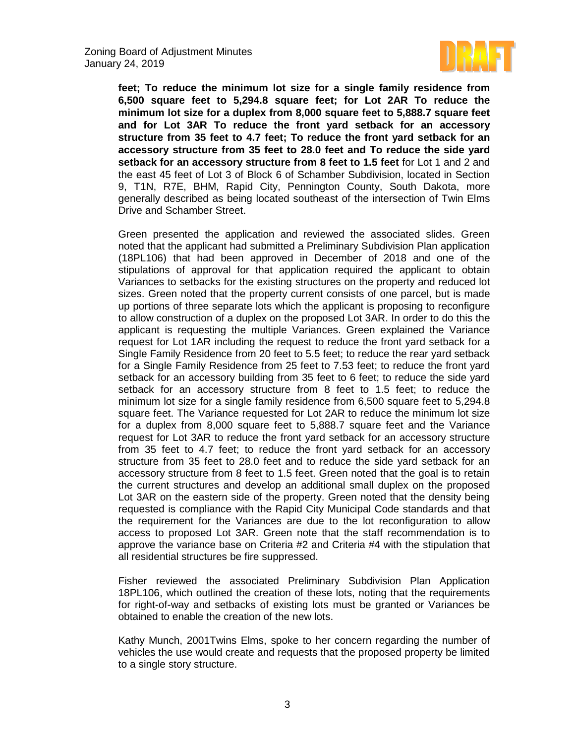

**feet; To reduce the minimum lot size for a single family residence from 6,500 square feet to 5,294.8 square feet; for Lot 2AR To reduce the minimum lot size for a duplex from 8,000 square feet to 5,888.7 square feet and for Lot 3AR To reduce the front yard setback for an accessory structure from 35 feet to 4.7 feet; To reduce the front yard setback for an accessory structure from 35 feet to 28.0 feet and To reduce the side yard setback for an accessory structure from 8 feet to 1.5 feet** for Lot 1 and 2 and the east 45 feet of Lot 3 of Block 6 of Schamber Subdivision, located in Section 9, T1N, R7E, BHM, Rapid City, Pennington County, South Dakota, more generally described as being located southeast of the intersection of Twin Elms Drive and Schamber Street.

Green presented the application and reviewed the associated slides. Green noted that the applicant had submitted a Preliminary Subdivision Plan application (18PL106) that had been approved in December of 2018 and one of the stipulations of approval for that application required the applicant to obtain Variances to setbacks for the existing structures on the property and reduced lot sizes. Green noted that the property current consists of one parcel, but is made up portions of three separate lots which the applicant is proposing to reconfigure to allow construction of a duplex on the proposed Lot 3AR. In order to do this the applicant is requesting the multiple Variances. Green explained the Variance request for Lot 1AR including the request to reduce the front yard setback for a Single Family Residence from 20 feet to 5.5 feet; to reduce the rear yard setback for a Single Family Residence from 25 feet to 7.53 feet; to reduce the front yard setback for an accessory building from 35 feet to 6 feet; to reduce the side yard setback for an accessory structure from 8 feet to 1.5 feet; to reduce the minimum lot size for a single family residence from 6,500 square feet to 5,294.8 square feet. The Variance requested for Lot 2AR to reduce the minimum lot size for a duplex from 8,000 square feet to 5,888.7 square feet and the Variance request for Lot 3AR to reduce the front yard setback for an accessory structure from 35 feet to 4.7 feet; to reduce the front yard setback for an accessory structure from 35 feet to 28.0 feet and to reduce the side yard setback for an accessory structure from 8 feet to 1.5 feet. Green noted that the goal is to retain the current structures and develop an additional small duplex on the proposed Lot 3AR on the eastern side of the property. Green noted that the density being requested is compliance with the Rapid City Municipal Code standards and that the requirement for the Variances are due to the lot reconfiguration to allow access to proposed Lot 3AR. Green note that the staff recommendation is to approve the variance base on Criteria #2 and Criteria #4 with the stipulation that all residential structures be fire suppressed.

Fisher reviewed the associated Preliminary Subdivision Plan Application 18PL106, which outlined the creation of these lots, noting that the requirements for right-of-way and setbacks of existing lots must be granted or Variances be obtained to enable the creation of the new lots.

Kathy Munch, 2001Twins Elms, spoke to her concern regarding the number of vehicles the use would create and requests that the proposed property be limited to a single story structure.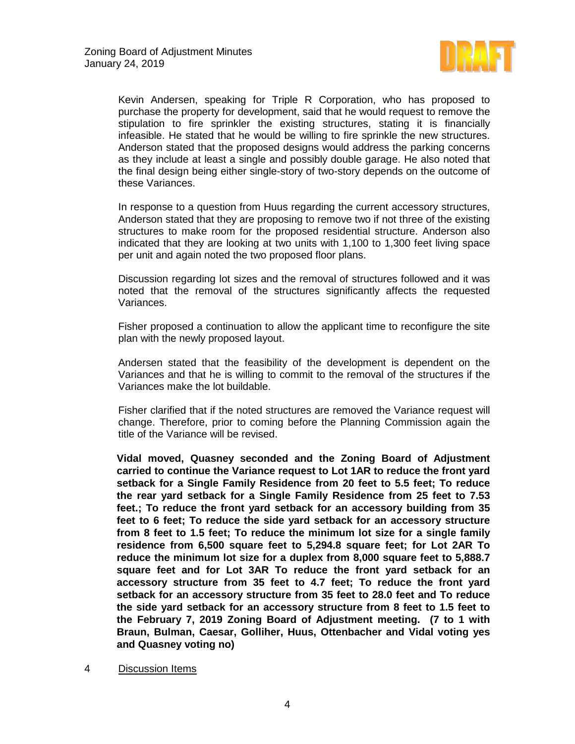

Kevin Andersen, speaking for Triple R Corporation, who has proposed to purchase the property for development, said that he would request to remove the stipulation to fire sprinkler the existing structures, stating it is financially infeasible. He stated that he would be willing to fire sprinkle the new structures. Anderson stated that the proposed designs would address the parking concerns as they include at least a single and possibly double garage. He also noted that the final design being either single-story of two-story depends on the outcome of these Variances.

In response to a question from Huus regarding the current accessory structures, Anderson stated that they are proposing to remove two if not three of the existing structures to make room for the proposed residential structure. Anderson also indicated that they are looking at two units with 1,100 to 1,300 feet living space per unit and again noted the two proposed floor plans.

Discussion regarding lot sizes and the removal of structures followed and it was noted that the removal of the structures significantly affects the requested Variances.

Fisher proposed a continuation to allow the applicant time to reconfigure the site plan with the newly proposed layout.

Andersen stated that the feasibility of the development is dependent on the Variances and that he is willing to commit to the removal of the structures if the Variances make the lot buildable.

Fisher clarified that if the noted structures are removed the Variance request will change. Therefore, prior to coming before the Planning Commission again the title of the Variance will be revised.

**Vidal moved, Quasney seconded and the Zoning Board of Adjustment carried to continue the Variance request to Lot 1AR to reduce the front yard setback for a Single Family Residence from 20 feet to 5.5 feet; To reduce the rear yard setback for a Single Family Residence from 25 feet to 7.53 feet.; To reduce the front yard setback for an accessory building from 35 feet to 6 feet; To reduce the side yard setback for an accessory structure from 8 feet to 1.5 feet; To reduce the minimum lot size for a single family residence from 6,500 square feet to 5,294.8 square feet; for Lot 2AR To reduce the minimum lot size for a duplex from 8,000 square feet to 5,888.7 square feet and for Lot 3AR To reduce the front yard setback for an accessory structure from 35 feet to 4.7 feet; To reduce the front yard setback for an accessory structure from 35 feet to 28.0 feet and To reduce the side yard setback for an accessory structure from 8 feet to 1.5 feet to the February 7, 2019 Zoning Board of Adjustment meeting. (7 to 1 with Braun, Bulman, Caesar, Golliher, Huus, Ottenbacher and Vidal voting yes and Quasney voting no)**

## 4 Discussion Items